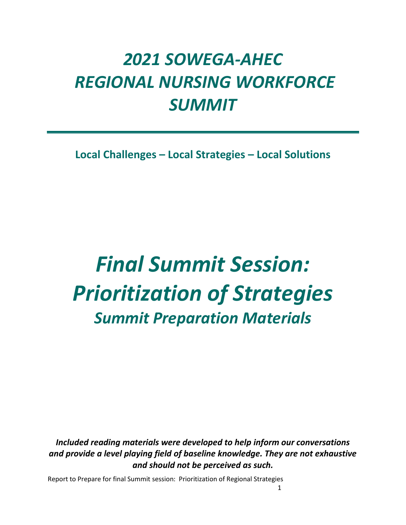# *2021 SOWEGA-AHEC REGIONAL NURSING WORKFORCE SUMMIT*

**Local Challenges – Local Strategies – Local Solutions**

# *Final Summit Session: Prioritization of Strategies Summit Preparation Materials*

*Included reading materials were developed to help inform our conversations and provide a level playing field of baseline knowledge. They are not exhaustive and should not be perceived as such.*

Report to Prepare for final Summit session: Prioritization of Regional Strategies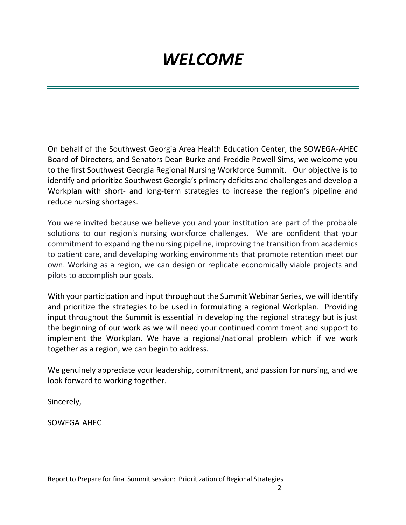# *WELCOME*

On behalf of the Southwest Georgia Area Health Education Center, the SOWEGA-AHEC Board of Directors, and Senators Dean Burke and Freddie Powell Sims, we welcome you to the first Southwest Georgia Regional Nursing Workforce Summit. Our objective is to identify and prioritize Southwest Georgia's primary deficits and challenges and develop a Workplan with short- and long-term strategies to increase the region's pipeline and reduce nursing shortages.

You were invited because we believe you and your institution are part of the probable solutions to our region's nursing workforce challenges. We are confident that your commitment to expanding the nursing pipeline, improving the transition from academics to patient care, and developing working environments that promote retention meet our own. Working as a region, we can design or replicate economically viable projects and pilots to accomplish our goals.

With your participation and input throughout the Summit Webinar Series, we will identify and prioritize the strategies to be used in formulating a regional Workplan. Providing input throughout the Summit is essential in developing the regional strategy but is just the beginning of our work as we will need your continued commitment and support to implement the Workplan. We have a regional/national problem which if we work together as a region, we can begin to address.

We genuinely appreciate your leadership, commitment, and passion for nursing, and we look forward to working together.

Sincerely,

SOWEGA-AHEC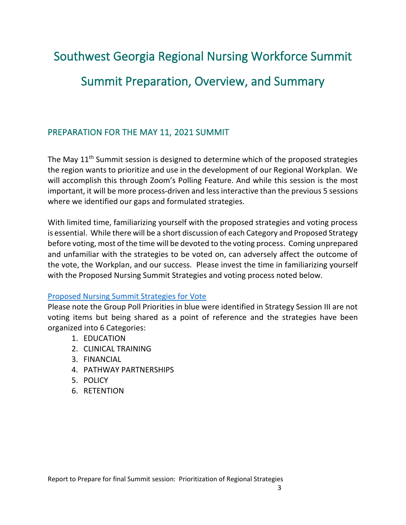# Southwest Georgia Regional Nursing Workforce Summit Summit Preparation, Overview, and Summary

# PREPARATION FOR THE MAY 11, 2021 SUMMIT

The May 11<sup>th</sup> Summit session is designed to determine which of the proposed strategies the region wants to prioritize and use in the development of our Regional Workplan. We will accomplish this through Zoom's Polling Feature. And while this session is the most important, it will be more process-driven and lessinteractive than the previous 5 sessions where we identified our gaps and formulated strategies.

With limited time, familiarizing yourself with the proposed strategies and voting process is essential. While there will be a short discussion of each Category and Proposed Strategy before voting, most of the time will be devoted to the voting process. Coming unprepared and unfamiliar with the strategies to be voted on, can adversely affect the outcome of the vote, the Workplan, and our success. Please invest the time in familiarizing yourself with the Proposed Nursing Summit Strategies and voting process noted below.

#### [Proposed Nursing Summit Strategies for Vote](https://sowega-ahec.org/wp-content/uploads/2021/05/Nursing-Summit-Strategies_.pdf)

Please note the Group Poll Priorities in blue were identified in Strategy Session III are not voting items but being shared as a point of reference and the strategies have been organized into 6 Categories:

- 1. EDUCATION
- 2. CLINICAL TRAINING
- 3. FINANCIAL
- 4. PATHWAY PARTNERSHIPS
- 5. POLICY
- 6. RETENTION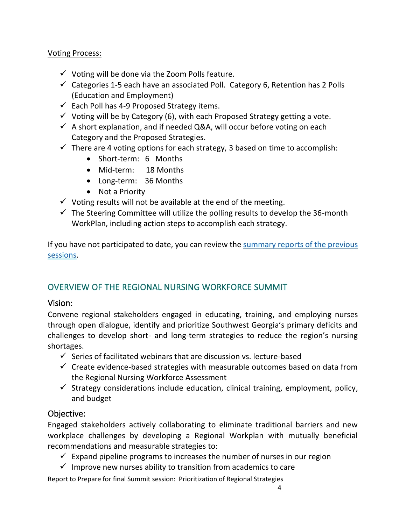#### Voting Process:

- $\checkmark$  Voting will be done via the Zoom Polls feature.
- $\checkmark$  Categories 1-5 each have an associated Poll. Category 6, Retention has 2 Polls (Education and Employment)
- $\checkmark$  Each Poll has 4-9 Proposed Strategy items.
- $\checkmark$  Voting will be by Category (6), with each Proposed Strategy getting a vote.
- $\checkmark$  A short explanation, and if needed Q&A, will occur before voting on each Category and the Proposed Strategies.
- $\checkmark$  There are 4 voting options for each strategy, 3 based on time to accomplish:
	- Short-term: 6 Months
	- Mid-term: 18 Months
	- Long-term: 36 Months
	- Not a Priority
- $\checkmark$  Voting results will not be available at the end of the meeting.
- $\checkmark$  The Steering Committee will utilize the polling results to develop the 36-month WorkPlan, including action steps to accomplish each strategy.

If you have not participated to date, you can review the [summary reports of the previous](https://sowega-ahec.org/nursingpre-reading/)  [sessions.](https://sowega-ahec.org/nursingpre-reading/)

# OVERVIEW OF THE REGIONAL NURSING WORKFORCE SUMMIT

#### Vision:

Convene regional stakeholders engaged in educating, training, and employing nurses through open dialogue, identify and prioritize Southwest Georgia's primary deficits and challenges to develop short- and long-term strategies to reduce the region's nursing shortages.

- $\checkmark$  Series of facilitated webinars that are discussion vs. lecture-based
- $\checkmark$  Create evidence-based strategies with measurable outcomes based on data from the Regional Nursing Workforce Assessment
- $\checkmark$  Strategy considerations include education, clinical training, employment, policy, and budget

#### Objective:

Engaged stakeholders actively collaborating to eliminate traditional barriers and new workplace challenges by developing a Regional Workplan with mutually beneficial recommendations and measurable strategies to:

- $\checkmark$  Expand pipeline programs to increases the number of nurses in our region
- $\checkmark$  Improve new nurses ability to transition from academics to care

Report to Prepare for final Summit session: Prioritization of Regional Strategies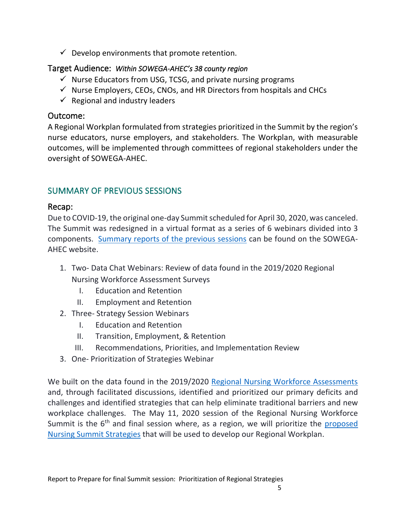$\checkmark$  Develop environments that promote retention.

#### Target Audience: *Within SOWEGA-AHEC's 38 county region*

- $\checkmark$  Nurse Educators from USG, TCSG, and private nursing programs
- $\checkmark$  Nurse Employers, CEOs, CNOs, and HR Directors from hospitals and CHCs
- $\checkmark$  Regional and industry leaders

### Outcome:

A Regional Workplan formulated from strategies prioritized in the Summit by the region's nurse educators, nurse employers, and stakeholders. The Workplan, with measurable outcomes, will be implemented through committees of regional stakeholders under the oversight of SOWEGA-AHEC.

# SUMMARY OF PREVIOUS SESSIONS

#### Recap:

Due to COVID-19, the original one-day Summit scheduled for April 30, 2020, was canceled. The Summit was redesigned in a virtual format as a series of 6 webinars divided into 3 components. [Summary reports of the previous sessions](https://sowega-ahec.org/nursingpre-reading/) can be found on the SOWEGA-AHEC website.

- 1. Two- Data Chat Webinars: Review of data found in the 2019/2020 Regional Nursing Workforce Assessment Surveys
	- I. Education and Retention
	- II. Employment and Retention
- 2. Three- Strategy Session Webinars
	- I. Education and Retention
	- II. Transition, Employment, & Retention
	- III. Recommendations, Priorities, and Implementation Review
- 3. One- Prioritization of Strategies Webinar

We built on the data found in the 2019/2020 [Regional Nursing Workforce Assessments](http://sowega-ahec.org/wp-content/uploads/2021/02/SOWEGA-AHEC-Nursing-Executive-Summary-Final.pdf) and, through facilitated discussions, identified and prioritized our primary deficits and challenges and identified strategies that can help eliminate traditional barriers and new workplace challenges. The May 11, 2020 session of the Regional Nursing Workforce Summit is the  $6<sup>th</sup>$  and final session where, as a region, we will prioritize the proposed [Nursing Summit Strategies](https://sowega-ahec.org/wp-content/uploads/2021/05/Nursing-Summit-Strategies_.pdf) that will be used to develop our Regional Workplan.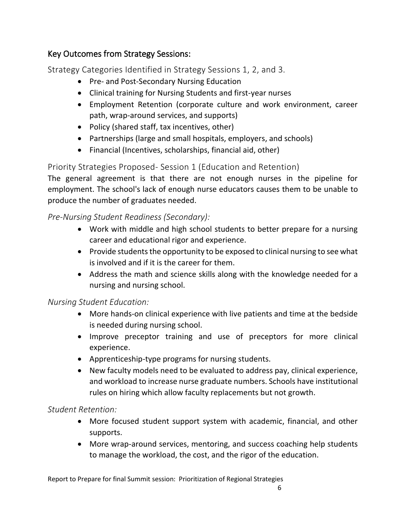# Key Outcomes from Strategy Sessions:

Strategy Categories Identified in Strategy Sessions 1, 2, and 3.

- Pre- and Post-Secondary Nursing Education
- Clinical training for Nursing Students and first-year nurses
- Employment Retention (corporate culture and work environment, career path, wrap-around services, and supports)
- Policy (shared staff, tax incentives, other)
- Partnerships (large and small hospitals, employers, and schools)
- Financial (Incentives, scholarships, financial aid, other)

# Priority Strategies Proposed- Session 1 (Education and Retention)

The general agreement is that there are not enough nurses in the pipeline for employment. The school's lack of enough nurse educators causes them to be unable to produce the number of graduates needed.

### *Pre-Nursing Student Readiness (Secondary):*

- Work with middle and high school students to better prepare for a nursing career and educational rigor and experience.
- Provide students the opportunity to be exposed to clinical nursing to see what is involved and if it is the career for them.
- Address the math and science skills along with the knowledge needed for a nursing and nursing school.

# *Nursing Student Education:*

- More hands-on clinical experience with live patients and time at the bedside is needed during nursing school.
- Improve preceptor training and use of preceptors for more clinical experience.
- Apprenticeship-type programs for nursing students.
- New faculty models need to be evaluated to address pay, clinical experience, and workload to increase nurse graduate numbers. Schools have institutional rules on hiring which allow faculty replacements but not growth.

#### *Student Retention:*

- More focused student support system with academic, financial, and other supports.
- More wrap-around services, mentoring, and success coaching help students to manage the workload, the cost, and the rigor of the education.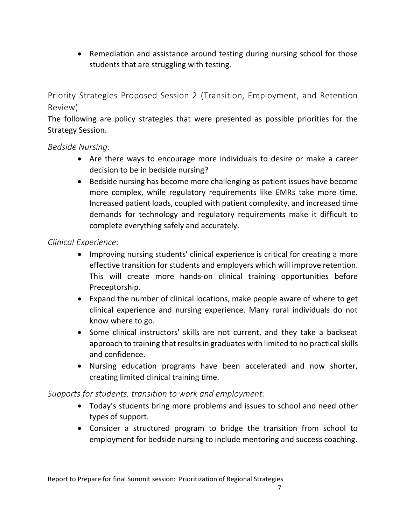• Remediation and assistance around testing during nursing school for those students that are struggling with testing.

Priority Strategies Proposed Session 2 (Transition, Employment, and Retention Review)

The following are policy strategies that were presented as possible priorities for the Strategy Session.

#### *Bedside Nursing:*

- Are there ways to encourage more individuals to desire or make a career decision to be in bedside nursing?
- Bedside nursing has become more challenging as patient issues have become more complex, while regulatory requirements like EMRs take more time. Increased patient loads, coupled with patient complexity, and increased time demands for technology and regulatory requirements make it difficult to complete everything safely and accurately.

#### *Clinical Experience:*

- Improving nursing students' clinical experience is critical for creating a more effective transition for students and employers which will improve retention. This will create more hands-on clinical training opportunities before Preceptorship.
- Expand the number of clinical locations, make people aware of where to get clinical experience and nursing experience. Many rural individuals do not know where to go.
- Some clinical instructors' skills are not current, and they take a backseat approach to training that results in graduates with limited to no practical skills and confidence.
- Nursing education programs have been accelerated and now shorter, creating limited clinical training time.

#### *Supports for students, transition to work and employment:*

- Today's students bring more problems and issues to school and need other types of support.
- Consider a structured program to bridge the transition from school to employment for bedside nursing to include mentoring and success coaching.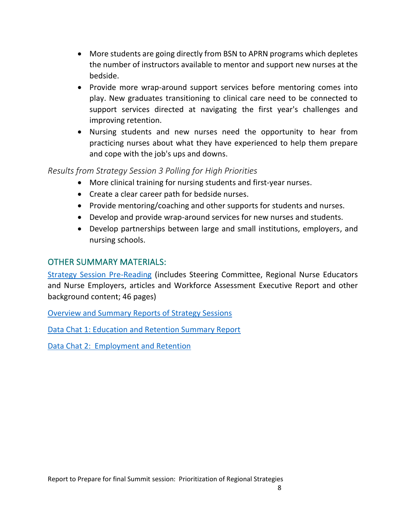- More students are going directly from BSN to APRN programs which depletes the number of instructors available to mentor and support new nurses at the bedside.
- Provide more wrap-around support services before mentoring comes into play. New graduates transitioning to clinical care need to be connected to support services directed at navigating the first year's challenges and improving retention.
- Nursing students and new nurses need the opportunity to hear from practicing nurses about what they have experienced to help them prepare and cope with the job's ups and downs.

#### *Results from Strategy Session 3 Polling for High Priorities*

- More clinical training for nursing students and first-year nurses.
- Create a clear career path for bedside nurses.
- Provide mentoring/coaching and other supports for students and nurses.
- Develop and provide wrap-around services for new nurses and students.
- Develop partnerships between large and small institutions, employers, and nursing schools.

#### OTHER SUMMARY MATERIALS:

[Strategy Session Pre-Reading](https://sowega-ahec.org/wp-content/uploads/2021/02/Strategy-Session-1-Pre-Reading.pdf) (includes Steering Committee, Regional Nurse Educators and Nurse Employers, articles and Workforce Assessment Executive Report and other background content; 46 pages)

[Overview and Summary Reports of Strategy Sessions](https://sowega-ahec.org/wp-content/uploads/2021/03/Summary-Reports-Strategy-Session-1-and-2.pdf)

[Data Chat 1: Education and Retention Summary Report](https://sowega-ahec.org/wp-content/uploads/2021/03/Summary-Report-Data-Chat-1.pdf)

[Data Chat 2: Employment and Retention](https://sowega-ahec.org/wp-content/uploads/2021/03/Summary-Report-Data-Chat-2.pdf)